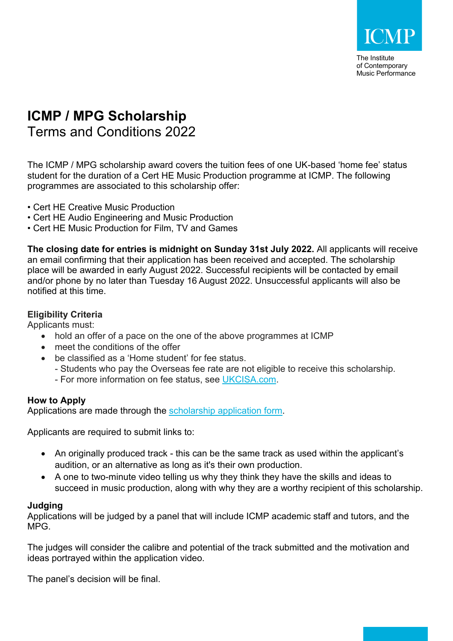

The Institute of Contemporary Music Performance

# **ICMP / MPG Scholarship**

Terms and Conditions 2022

The ICMP / MPG scholarship award covers the tuition fees of one UK-based 'home fee' status student for the duration of a Cert HE Music Production programme at ICMP. The following programmes are associated to this scholarship offer:

- Cert HE Creative Music Production
- Cert HE Audio Engineering and Music Production
- Cert HE Music Production for Film, TV and Games

**The closing date for entries is midnight on Sunday 31st July 2022.** All applicants will receive an email confirming that their application has been received and accepted. The scholarship place will be awarded in early August 2022. Successful recipients will be contacted by email and/or phone by no later than Tuesday 16 August 2022. Unsuccessful applicants will also be notified at this time.

## **Eligibility Criteria**

Applicants must:

- hold an offer of a pace on the one of the above programmes at ICMP
- meet the conditions of the offer
- be classified as a 'Home student' for fee status.
	- Students who pay the Overseas fee rate are not eligible to receive this scholarship.
	- For more information on fee status, see UKCISA.com.

## **How to Apply**

Applications are made through the scholarship application form.

Applicants are required to submit links to:

- An originally produced track this can be the same track as used within the applicant's audition, or an alternative as long as it's their own production.
- A one to two-minute video telling us why they think they have the skills and ideas to succeed in music production, along with why they are a worthy recipient of this scholarship.

### **Judging**

Applications will be judged by a panel that will include ICMP academic staff and tutors, and the MPG.

The judges will consider the calibre and potential of the track submitted and the motivation and ideas portrayed within the application video.

The panel's decision will be final.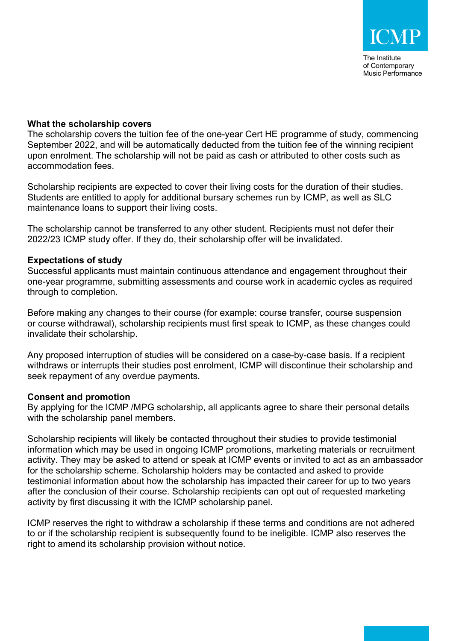#### **What the scholarship covers**

The scholarship covers the tuition fee of the one-year Cert HE programme of study, commencing September 2022, and will be automatically deducted from the tuition fee of the winning recipient upon enrolment. The scholarship will not be paid as cash or attributed to other costs such as accommodation fees.

Scholarship recipients are expected to cover their living costs for the duration of their studies. Students are entitled to apply for additional bursary schemes run by ICMP, as well as SLC maintenance loans to support their living costs.

The scholarship cannot be transferred to any other student. Recipients must not defer their 2022/23 ICMP study offer. If they do, their scholarship offer will be invalidated.

#### **Expectations of study**

Successful applicants must maintain continuous attendance and engagement throughout their one-year programme, submitting assessments and course work in academic cycles as required through to completion.

Before making any changes to their course (for example: course transfer, course suspension or course withdrawal), scholarship recipients must first speak to ICMP, as these changes could invalidate their scholarship.

Any proposed interruption of studies will be considered on a case-by-case basis. If a recipient withdraws or interrupts their studies post enrolment, ICMP will discontinue their scholarship and seek repayment of any overdue payments.

#### **Consent and promotion**

By applying for the ICMP /MPG scholarship, all applicants agree to share their personal details with the scholarship panel members.

Scholarship recipients will likely be contacted throughout their studies to provide testimonial information which may be used in ongoing ICMP promotions, marketing materials or recruitment activity. They may be asked to attend or speak at ICMP events or invited to act as an ambassador for the scholarship scheme. Scholarship holders may be contacted and asked to provide testimonial information about how the scholarship has impacted their career for up to two years after the conclusion of their course. Scholarship recipients can opt out of requested marketing activity by first discussing it with the ICMP scholarship panel.

ICMP reserves the right to withdraw a scholarship if these terms and conditions are not adhered to or if the scholarship recipient is subsequently found to be ineligible. ICMP also reserves the right to amend its scholarship provision without notice.